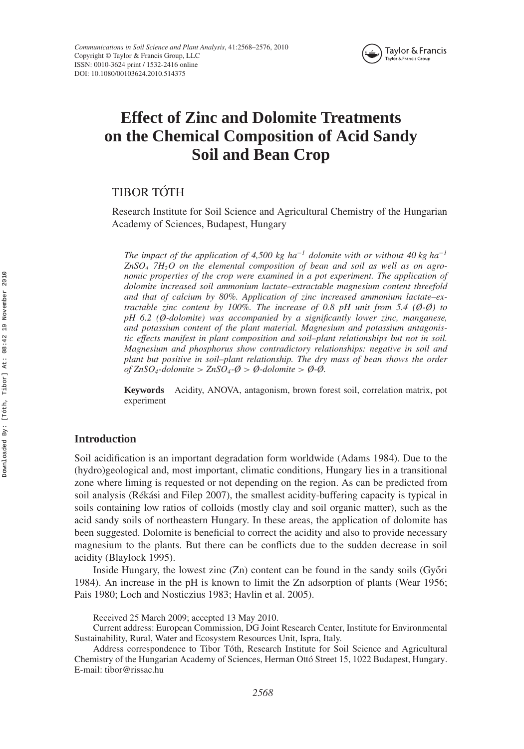

# **Effect of Zinc and Dolomite Treatments on the Chemical Composition of Acid Sandy Soil and Bean Crop**

# TIBOR TÓTH

Research Institute for Soil Science and Agricultural Chemistry of the Hungarian Academy of Sciences, Budapest, Hungary

*The impact of the application of 4,500 kg ha<sup>* $−1$ *</sup> dolomite with or without 40 kg ha*<sup> $−1$ </sup> *ZnSO4 7H2O on the elemental composition of bean and soil as well as on agronomic properties of the crop were examined in a pot experiment. The application of dolomite increased soil ammonium lactate–extractable magnesium content threefold and that of calcium by 80%. Application of zinc increased ammonium lactate–extractable zinc content by 100%. The increase of 0.8 pH unit from 5.4 (Ø-Ø) to pH 6.2 (Ø-dolomite) was accompanied by a significantly lower zinc, manganese, and potassium content of the plant material. Magnesium and potassium antagonistic effects manifest in plant composition and soil–plant relationships but not in soil. Magnesium and phosphorus show contradictory relationships: negative in soil and plant but positive in soil–plant relationship. The dry mass of bean shows the order of ZnSO4-dolomite > ZnSO4-Ø > Ø-dolomite > Ø-Ø.*

**Keywords** Acidity, ANOVA, antagonism, brown forest soil, correlation matrix, pot experiment

# **Introduction**

Soil acidification is an important degradation form worldwide (Adams 1984). Due to the (hydro)geological and, most important, climatic conditions, Hungary lies in a transitional zone where liming is requested or not depending on the region. As can be predicted from soil analysis (Rékási and Filep 2007), the smallest acidity-buffering capacity is typical in soils containing low ratios of colloids (mostly clay and soil organic matter), such as the acid sandy soils of northeastern Hungary. In these areas, the application of dolomite has been suggested. Dolomite is beneficial to correct the acidity and also to provide necessary magnesium to the plants. But there can be conflicts due to the sudden decrease in soil acidity (Blaylock 1995).

Inside Hungary, the lowest zinc  $(Zn)$  content can be found in the sandy soils  $(Gy\ddot{o}ri)$ 1984). An increase in the pH is known to limit the Zn adsorption of plants (Wear 1956; Pais 1980; Loch and Nosticzius 1983; Havlin et al. 2005).

Received 25 March 2009; accepted 13 May 2010.

Current address: European Commission, DG Joint Research Center, Institute for Environmental Sustainability, Rural, Water and Ecosystem Resources Unit, Ispra, Italy.

Address correspondence to Tibor Tóth, Research Institute for Soil Science and Agricultural Chemistry of the Hungarian Academy of Sciences, Herman Ottó Street 15, 1022 Budapest, Hungary. E-mail: tibor@rissac.hu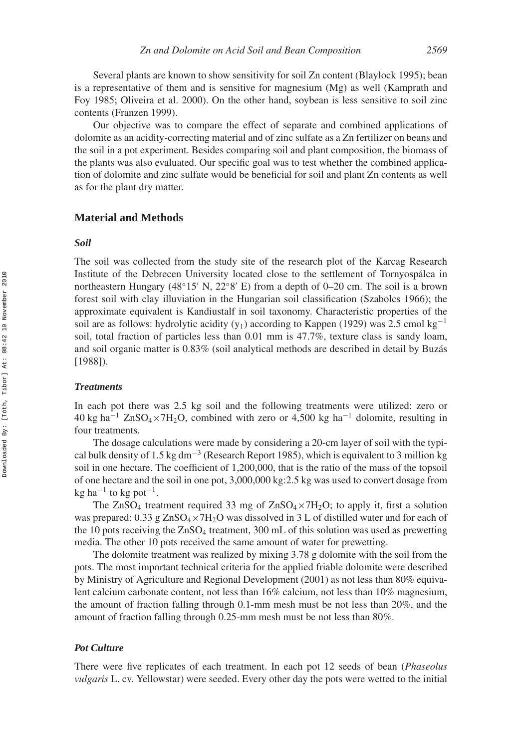Several plants are known to show sensitivity for soil Zn content (Blaylock 1995); bean is a representative of them and is sensitive for magnesium (Mg) as well (Kamprath and Foy 1985; Oliveira et al. 2000). On the other hand, soybean is less sensitive to soil zinc contents (Franzen 1999).

Our objective was to compare the effect of separate and combined applications of dolomite as an acidity-correcting material and of zinc sulfate as a Zn fertilizer on beans and the soil in a pot experiment. Besides comparing soil and plant composition, the biomass of the plants was also evaluated. Our specific goal was to test whether the combined application of dolomite and zinc sulfate would be beneficial for soil and plant Zn contents as well as for the plant dry matter.

# **Material and Methods**

#### *Soil*

The soil was collected from the study site of the research plot of the Karcag Research Institute of the Debrecen University located close to the settlement of Tornyospálca in northeastern Hungary (48°15′ N, 22°8′ E) from a depth of 0–20 cm. The soil is a brown forest soil with clay illuviation in the Hungarian soil classification (Szabolcs 1966); the approximate equivalent is Kandiustalf in soil taxonomy. Characteristic properties of the soil are as follows: hydrolytic acidity (y<sub>1</sub>) according to Kappen (1929) was 2.5 cmol kg<sup>-1</sup> soil, total fraction of particles less than 0.01 mm is 47.7%, texture class is sandy loam, and soil organic matter is 0.83% (soil analytical methods are described in detail by Buzás [1988]).

#### *Treatments*

In each pot there was 2.5 kg soil and the following treatments were utilized: zero or  $40 \text{ kg ha}^{-1}$  ZnSO<sub>4</sub>×7H<sub>2</sub>O, combined with zero or 4,500 kg ha<sup>-1</sup> dolomite, resulting in four treatments.

The dosage calculations were made by considering a 20-cm layer of soil with the typical bulk density of 1.5 kg dm<sup>-3</sup> (Research Report 1985), which is equivalent to 3 million kg soil in one hectare. The coefficient of 1,200,000, that is the ratio of the mass of the topsoil of one hectare and the soil in one pot, 3,000,000 kg:2.5 kg was used to convert dosage from  $kg$  ha<sup>-1</sup> to kg pot<sup>-1</sup>.

The  $ZnSO_4$  treatment required 33 mg of  $ZnSO_4 \times 7H_2O$ ; to apply it, first a solution was prepared:  $0.33$  g  $ZnSO_4 \times 7H_2O$  was dissolved in 3 L of distilled water and for each of the 10 pots receiving the  $ZnSO_4$  treatment, 300 mL of this solution was used as prewetting media. The other 10 pots received the same amount of water for prewetting.

The dolomite treatment was realized by mixing 3.78 g dolomite with the soil from the pots. The most important technical criteria for the applied friable dolomite were described by Ministry of Agriculture and Regional Development (2001) as not less than 80% equivalent calcium carbonate content, not less than 16% calcium, not less than 10% magnesium, the amount of fraction falling through 0.1-mm mesh must be not less than 20%, and the amount of fraction falling through 0.25-mm mesh must be not less than 80%.

# *Pot Culture*

There were five replicates of each treatment. In each pot 12 seeds of bean (*Phaseolus vulgaris* L. cv. Yellowstar) were seeded. Every other day the pots were wetted to the initial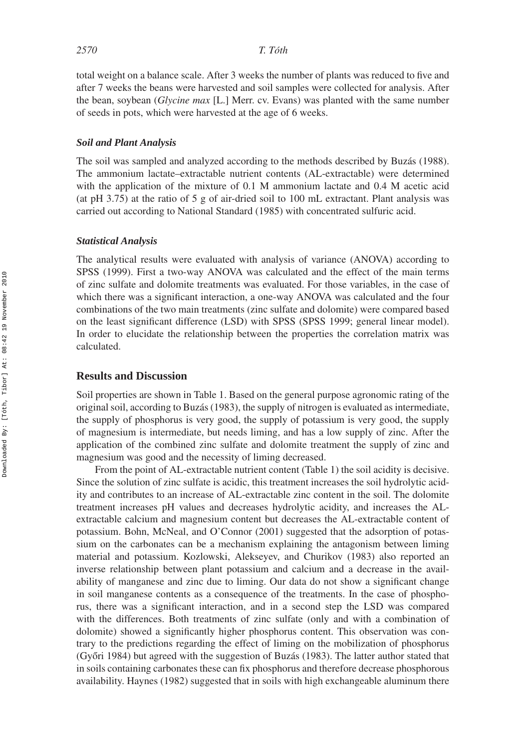total weight on a balance scale. After 3 weeks the number of plants was reduced to five and after 7 weeks the beans were harvested and soil samples were collected for analysis. After the bean, soybean (*Glycine max* [L.] Merr. cv. Evans) was planted with the same number of seeds in pots, which were harvested at the age of 6 weeks.

## *Soil and Plant Analysis*

The soil was sampled and analyzed according to the methods described by Buzás (1988). The ammonium lactate–extractable nutrient contents (AL-extractable) were determined with the application of the mixture of 0.1 M ammonium lactate and 0.4 M acetic acid (at pH 3.75) at the ratio of 5 g of air-dried soil to 100 mL extractant. Plant analysis was carried out according to National Standard (1985) with concentrated sulfuric acid.

#### *Statistical Analysis*

The analytical results were evaluated with analysis of variance (ANOVA) according to SPSS (1999). First a two-way ANOVA was calculated and the effect of the main terms of zinc sulfate and dolomite treatments was evaluated. For those variables, in the case of which there was a significant interaction, a one-way ANOVA was calculated and the four combinations of the two main treatments (zinc sulfate and dolomite) were compared based on the least significant difference (LSD) with SPSS (SPSS 1999; general linear model). In order to elucidate the relationship between the properties the correlation matrix was calculated.

# **Results and Discussion**

Soil properties are shown in Table 1. Based on the general purpose agronomic rating of the original soil, according to Buzás (1983), the supply of nitrogen is evaluated as intermediate, the supply of phosphorus is very good, the supply of potassium is very good, the supply of magnesium is intermediate, but needs liming, and has a low supply of zinc. After the application of the combined zinc sulfate and dolomite treatment the supply of zinc and magnesium was good and the necessity of liming decreased.

From the point of AL-extractable nutrient content (Table 1) the soil acidity is decisive. Since the solution of zinc sulfate is acidic, this treatment increases the soil hydrolytic acidity and contributes to an increase of AL-extractable zinc content in the soil. The dolomite treatment increases pH values and decreases hydrolytic acidity, and increases the ALextractable calcium and magnesium content but decreases the AL-extractable content of potassium. Bohn, McNeal, and O'Connor (2001) suggested that the adsorption of potassium on the carbonates can be a mechanism explaining the antagonism between liming material and potassium. Kozlowski, Alekseyev, and Churikov (1983) also reported an inverse relationship between plant potassium and calcium and a decrease in the availability of manganese and zinc due to liming. Our data do not show a significant change in soil manganese contents as a consequence of the treatments. In the case of phosphorus, there was a significant interaction, and in a second step the LSD was compared with the differences. Both treatments of zinc sulfate (only and with a combination of dolomite) showed a significantly higher phosphorus content. This observation was contrary to the predictions regarding the effect of liming on the mobilization of phosphorus (Győri 1984) but agreed with the suggestion of Buzás (1983). The latter author stated that in soils containing carbonates these can fix phosphorus and therefore decrease phosphorous availability. Haynes (1982) suggested that in soils with high exchangeable aluminum there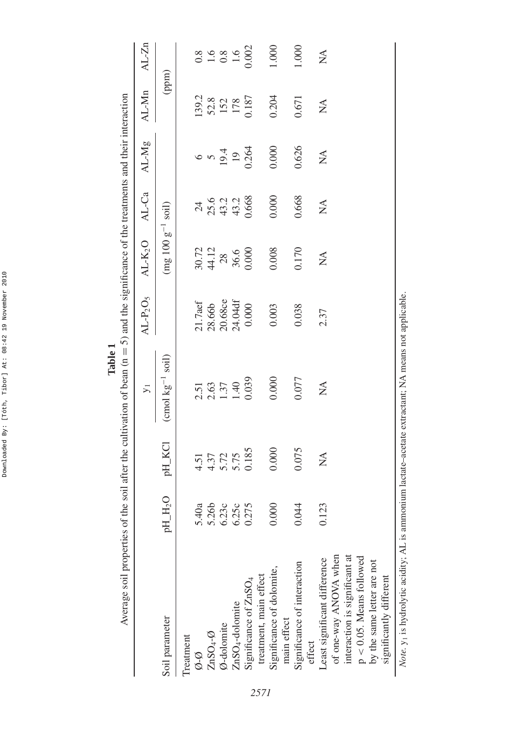| Average soil properties of the                                                                                  |                     |                                                 | soil after the cultivation of bean $(n = 5)$ and the significance of the treatments and their interaction |             |                        |                      |              |                                          |                                             |
|-----------------------------------------------------------------------------------------------------------------|---------------------|-------------------------------------------------|-----------------------------------------------------------------------------------------------------------|-------------|------------------------|----------------------|--------------|------------------------------------------|---------------------------------------------|
|                                                                                                                 |                     |                                                 | $\overline{y}$                                                                                            | $AL-P_2O_5$ | $AL-K2O$               | AL-Ca                | $AL-Mg$      | AL-Mn                                    | $AL-Zn$                                     |
| Soil parameter                                                                                                  | pH_H <sub>2</sub> O | pH_KCI                                          | $\frac{\text{cmol}}{\text{kg}^{-1}}$ soil)                                                                |             | $(mg 100 g^{-1}$       | soil)                |              | (ppm)                                    |                                             |
| Treatment                                                                                                       |                     |                                                 |                                                                                                           | 21.7aef     |                        |                      |              |                                          |                                             |
| $\mathcal{O}$ -Ø                                                                                                | 5.40a               |                                                 |                                                                                                           |             |                        | $\overline{24}$      |              | 139.2                                    |                                             |
| $ZnSO_4-o$                                                                                                      | 5.26b               |                                                 |                                                                                                           | 28.66b      |                        |                      |              |                                          |                                             |
| Ø-dolomite                                                                                                      | 6.23c               |                                                 |                                                                                                           | 20.68ce     |                        |                      |              |                                          |                                             |
| ZnSO <sub>4</sub> -dolomite                                                                                     | 6.25c               | $4.51$<br>$4.37$<br>$5.72$<br>$5.75$<br>$5.185$ | 2.51<br>2.63<br>1.37<br>1.40<br>1.40                                                                      | 24.04df     | 30.72<br>44.12<br>36.6 | 25.2<br>43.2<br>43.4 | 6940         | $\frac{52.8}{152}$<br>152<br>178<br>1187 | $0.8$<br>$1.6$<br>$0.8$<br>$1.6$<br>$0.002$ |
| Significance of ZnSO <sub>4</sub>                                                                               | 0.275               |                                                 |                                                                                                           | 0.000       | 0.000                  | 0.668                | 0.264        |                                          |                                             |
| treatment, main effect                                                                                          |                     |                                                 |                                                                                                           |             |                        |                      |              |                                          |                                             |
| Significance of dolomite,<br>main effect                                                                        | 0.000               | 0.000                                           | 0.000                                                                                                     | 0.003       | 0.008                  | 0.000                | 0.000        | 0.204                                    | 1.000                                       |
|                                                                                                                 |                     |                                                 |                                                                                                           |             |                        |                      |              |                                          |                                             |
| Significance of interaction<br>effect                                                                           | 0.044               | 0.075                                           | 0.077                                                                                                     | 0.038       | 0.170                  | 0.668                | 0.626        | 0.671                                    | 1.000                                       |
| Least significant difference                                                                                    | 0.123               | $\lessapprox$                                   | $\mathbb{E}$                                                                                              | 2.37        | $\lessapprox$          | $\lessapprox$        | $\mathbb{Z}$ | $\sum_{i=1}^{n}$                         | $\mathbb{X}^{\mathsf{A}}$                   |
| of one-way ANOVA when                                                                                           |                     |                                                 |                                                                                                           |             |                        |                      |              |                                          |                                             |
| interaction is significant at                                                                                   |                     |                                                 |                                                                                                           |             |                        |                      |              |                                          |                                             |
| $p < 0.05$ . Means followed                                                                                     |                     |                                                 |                                                                                                           |             |                        |                      |              |                                          |                                             |
| by the same letter are not                                                                                      |                     |                                                 |                                                                                                           |             |                        |                      |              |                                          |                                             |
| significantly different                                                                                         |                     |                                                 |                                                                                                           |             |                        |                      |              |                                          |                                             |
| Note. y <sub>1</sub> is hydrolytic acidity; AL is ammonium lactate-acetate extractant; NA means not applicable. |                     |                                                 |                                                                                                           |             |                        |                      |              |                                          |                                             |

**Table 1**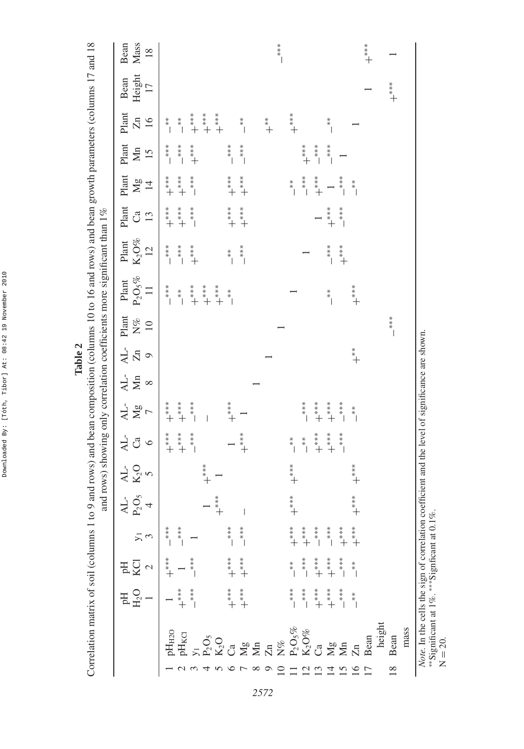| $\begin{array}{c} * \\ * \\ * \end{array}$<br>$\stackrel{*}{\ast}$<br>$\begin{array}{c} * \\ * \\ * \\ * \end{array}$<br>$*$<br>$*$<br>$*$<br>$*$<br>$**$<br>$*$<br>$+$<br>$\begin{array}{c} * \\ * \\ * \\ * \end{array}$<br>$\stackrel{*}{\ast}_{\ast}$<br>I<br>$\begin{array}{c} * \\ * \\ * \end{array}$<br>$*$<br>$*$<br>$*$<br>$+$<br>$\begin{array}{c} * \\ * \\ * \\ * \end{array}$<br>$\stackrel{*}{\ast}$<br>$\stackrel{*}{\phantom{}}\stackrel{*}{+}$<br>$\stackrel{*}{\ast}$<br>$\stackrel{*}{\ast}_{+}$ | $\infty$<br>$*$<br>$*$<br>$*$<br>$*$<br>$*$<br>$*$<br>$*$<br>$\overline{C}$<br>$\stackrel{*}{\ast}$<br>$+$<br>$\circ$<br>$\stackrel{*}{\phantom{}}\stackrel{*}{\phantom{}}\stackrel{*}{\phantom{}}\stackrel{*}{\phantom{}}\phantom{}+\phantom{0}$<br>$\stackrel{*}{\underset{*}{\ast}}\stackrel{*}{+}$<br>$\stackrel{*}{+}\stackrel{*}{+}$<br>$\mathbf{v}$<br>$\zeta$<br>$*$<br>$*$<br>$*$<br>$*$<br>$*$<br>$\stackrel{*}{\ast}$<br>$\stackrel{*}{\underset{*}{\ast}}\stackrel{*}{+}$ | $**$<br>$*$<br>$*$<br>$*$<br>$*$<br>$*$<br>$*$<br>$\begin{array}{c} * \\ * \\ * \\ * \end{array}$<br>$\stackrel{*}{\ast}$<br>$\begin{array}{c} * \ * \\ * \ * \\ * \end{array}$<br>$\begin{array}{c} * \\ * \\ * \\ * \end{array}$<br>$**$<br>$*$<br>$*$<br>$\uparrow$ | $\Delta L$ -<br>$\sum_{i=1}^{n}$<br>$AL-$<br>Mg<br>$\overline{AL}$<br>$\mathbf{C}^{\mathbf{a}}$<br>$K_2$ O<br>Ų<br>$\Delta L$<br>$P_2C$<br>$\stackrel{*}{\ast}$ +<br>$+$<br>$\begin{array}{c} * \\ * \\ * \\ * \end{array}$<br>$*$<br>$*$<br>$*$<br>$*$<br>$*$<br>$*$<br>$*$<br>$**$<br>$*$<br>$*$<br>$\stackrel{*}{\ast}$<br>$\overline{KCl}$<br>$\begin{array}{c} * \\ * \\ * \end{array}$<br>Ę<br>$*$<br>$*$<br>$*$<br>$*$<br>$*$<br>$***$<br>$**$<br>$*$<br>$+$<br>$\begin{array}{c} * \\ * \\ * \\ * \end{array}$<br>$**$<br>$*$<br>$*$<br>$H_2O$<br>$\begin{array}{c} * \\ * \\ * \\ * \end{array}$ |
|----------------------------------------------------------------------------------------------------------------------------------------------------------------------------------------------------------------------------------------------------------------------------------------------------------------------------------------------------------------------------------------------------------------------------------------------------------------------------------------------------------------------|---------------------------------------------------------------------------------------------------------------------------------------------------------------------------------------------------------------------------------------------------------------------------------------------------------------------------------------------------------------------------------------------------------------------------------------------------------------------------------------|------------------------------------------------------------------------------------------------------------------------------------------------------------------------------------------------------------------------------------------------------------------------|-----------------------------------------------------------------------------------------------------------------------------------------------------------------------------------------------------------------------------------------------------------------------------------------------------------------------------------------------------------------------------------------------------------------------------------------------------------------------------------------------------------------------------------------------------------------------------------------------------------|
|                                                                                                                                                                                                                                                                                                                                                                                                                                                                                                                      |                                                                                                                                                                                                                                                                                                                                                                                                                                                                                       |                                                                                                                                                                                                                                                                        |                                                                                                                                                                                                                                                                                                                                                                                                                                                                                                                                                                                                           |
|                                                                                                                                                                                                                                                                                                                                                                                                                                                                                                                      |                                                                                                                                                                                                                                                                                                                                                                                                                                                                                       |                                                                                                                                                                                                                                                                        |                                                                                                                                                                                                                                                                                                                                                                                                                                                                                                                                                                                                           |
|                                                                                                                                                                                                                                                                                                                                                                                                                                                                                                                      |                                                                                                                                                                                                                                                                                                                                                                                                                                                                                       |                                                                                                                                                                                                                                                                        |                                                                                                                                                                                                                                                                                                                                                                                                                                                                                                                                                                                                           |

**Table 2**

*2572*

∗∗Significant at 1%. ∗∗∗Signficant at 0.1%.

N = 20.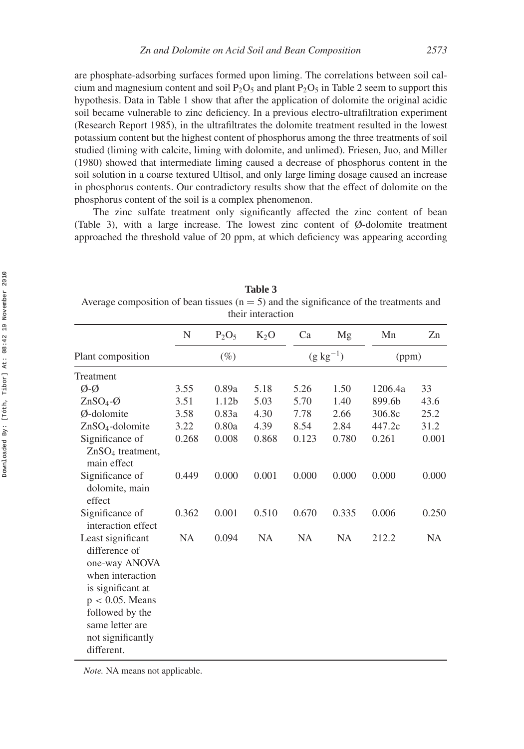are phosphate-adsorbing surfaces formed upon liming. The correlations between soil calcium and magnesium content and soil  $P_2O_5$  and plant  $P_2O_5$  in Table 2 seem to support this hypothesis. Data in Table 1 show that after the application of dolomite the original acidic soil became vulnerable to zinc deficiency. In a previous electro-ultrafiltration experiment (Research Report 1985), in the ultrafiltrates the dolomite treatment resulted in the lowest potassium content but the highest content of phosphorus among the three treatments of soil studied (liming with calcite, liming with dolomite, and unlimed). Friesen, Juo, and Miller (1980) showed that intermediate liming caused a decrease of phosphorus content in the soil solution in a coarse textured Ultisol, and only large liming dosage caused an increase in phosphorus contents. Our contradictory results show that the effect of dolomite on the phosphorus content of the soil is a complex phenomenon.

The zinc sulfate treatment only significantly affected the zinc content of bean (Table 3), with a large increase. The lowest zinc content of Ø-dolomite treatment approached the threshold value of 20 ppm, at which deficiency was appearing according

| N      | $P_2O_5$          | $K_2O$ | Ca        | Mg                   | Mn                          | Zn    |
|--------|-------------------|--------|-----------|----------------------|-----------------------------|-------|
| $(\%)$ |                   |        |           | (ppm)                |                             |       |
|        |                   |        |           |                      |                             |       |
| 3.55   | 0.89a             | 5.18   | 5.26      | 1.50                 | 1206.4a                     | 33    |
| 3.51   | 1.12 <sub>b</sub> | 5.03   | 5.70      | 1.40                 | 899.6 <sub>b</sub>          | 43.6  |
| 3.58   | 0.83a             | 4.30   | 7.78      | 2.66                 | 306.8c                      | 25.2  |
| 3.22   | 0.80a             | 4.39   | 8.54      | 2.84                 | 447.2c                      | 31.2  |
| 0.268  | 0.008             | 0.868  | 0.123     | 0.780                | 0.261                       | 0.001 |
|        |                   |        |           |                      |                             |       |
| 0.449  | 0.000             | 0.001  | 0.000     | 0.000                | 0.000                       | 0.000 |
| 0.362  | 0.001             | 0.510  | 0.670     | 0.335                | 0.006                       | 0.250 |
|        |                   |        |           |                      |                             | NA    |
|        | <b>NA</b>         | 0.094  | <b>NA</b> | uiui mulaetion<br>NA | $(g \text{ kg}^{-1})$<br>NA | 212.2 |

**Table 3** Average composition of bean tissues  $(n = 5)$  and the significance of the treatments and their interaction

*Note.* NA means not applicable.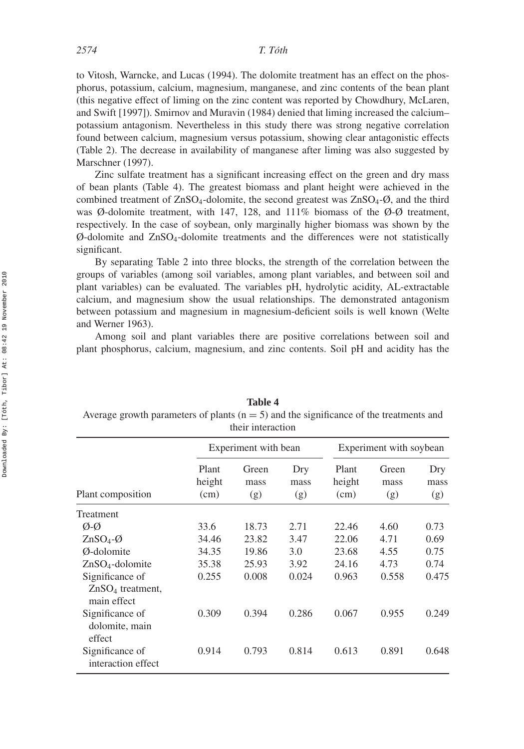to Vitosh, Warncke, and Lucas (1994). The dolomite treatment has an effect on the phosphorus, potassium, calcium, magnesium, manganese, and zinc contents of the bean plant (this negative effect of liming on the zinc content was reported by Chowdhury, McLaren, and Swift [1997]). Smirnov and Muravin (1984) denied that liming increased the calcium– potassium antagonism. Nevertheless in this study there was strong negative correlation found between calcium, magnesium versus potassium, showing clear antagonistic effects (Table 2). The decrease in availability of manganese after liming was also suggested by Marschner (1997).

Zinc sulfate treatment has a significant increasing effect on the green and dry mass of bean plants (Table 4). The greatest biomass and plant height were achieved in the combined treatment of  $ZnSO_4$ -dolomite, the second greatest was  $ZnSO_4$ - $\emptyset$ , and the third was Ø-dolomite treatment, with 147, 128, and 111% biomass of the  $\emptyset$ -Ø treatment, respectively. In the case of soybean, only marginally higher biomass was shown by the  $\varnothing$ -dolomite and ZnSO<sub>4</sub>-dolomite treatments and the differences were not statistically significant.

By separating Table 2 into three blocks, the strength of the correlation between the groups of variables (among soil variables, among plant variables, and between soil and plant variables) can be evaluated. The variables pH, hydrolytic acidity, AL-extractable calcium, and magnesium show the usual relationships. The demonstrated antagonism between potassium and magnesium in magnesium-deficient soils is well known (Welte and Werner 1963).

Among soil and plant variables there are positive correlations between soil and plant phosphorus, calcium, magnesium, and zinc contents. Soil pH and acidity has the

|                                                      |                         | their interaction    |                    |                         |                      |                    |  |
|------------------------------------------------------|-------------------------|----------------------|--------------------|-------------------------|----------------------|--------------------|--|
|                                                      |                         | Experiment with bean |                    | Experiment with soybean |                      |                    |  |
| Plant composition                                    | Plant<br>height<br>(cm) | Green<br>mass<br>(g) | Dry<br>mass<br>(g) | Plant<br>height<br>(cm) | Green<br>mass<br>(g) | Dry<br>mass<br>(g) |  |
| Treatment                                            |                         |                      |                    |                         |                      |                    |  |
| Ø-Ø                                                  | 33.6                    | 18.73                | 2.71               | 22.46                   | 4.60                 | 0.73               |  |
| $ZnSO_4-Q$                                           | 34.46                   | 23.82                | 3.47               | 22.06                   | 4.71                 | 0.69               |  |
| Ø-dolomite                                           | 34.35                   | 19.86                | 3.0                | 23.68                   | 4.55                 | 0.75               |  |
| $ZnSO4$ -dolomite                                    | 35.38                   | 25.93                | 3.92               | 24.16                   | 4.73                 | 0.74               |  |
| Significance of<br>$ZnSO4$ treatment,<br>main effect | 0.255                   | 0.008                | 0.024              | 0.963                   | 0.558                | 0.475              |  |
| Significance of<br>dolomite, main<br>effect          | 0.309                   | 0.394                | 0.286              | 0.067                   | 0.955                | 0.249              |  |
| Significance of<br>interaction effect                | 0.914                   | 0.793                | 0.814              | 0.613                   | 0.891                | 0.648              |  |

| <b>Table 4</b>                                                                           |  |
|------------------------------------------------------------------------------------------|--|
| Average growth parameters of plants $(n = 5)$ and the significance of the treatments and |  |
|                                                                                          |  |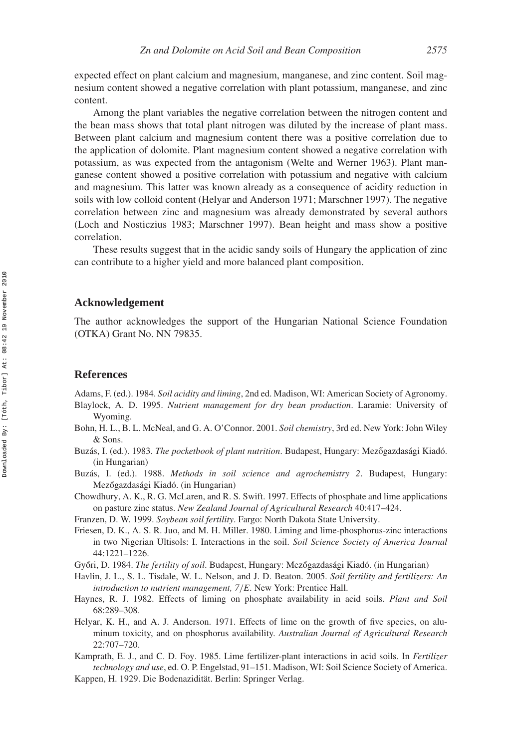expected effect on plant calcium and magnesium, manganese, and zinc content. Soil magnesium content showed a negative correlation with plant potassium, manganese, and zinc content.

Among the plant variables the negative correlation between the nitrogen content and the bean mass shows that total plant nitrogen was diluted by the increase of plant mass. Between plant calcium and magnesium content there was a positive correlation due to the application of dolomite. Plant magnesium content showed a negative correlation with potassium, as was expected from the antagonism (Welte and Werner 1963). Plant manganese content showed a positive correlation with potassium and negative with calcium and magnesium. This latter was known already as a consequence of acidity reduction in soils with low colloid content (Helyar and Anderson 1971; Marschner 1997). The negative correlation between zinc and magnesium was already demonstrated by several authors (Loch and Nosticzius 1983; Marschner 1997). Bean height and mass show a positive correlation.

These results suggest that in the acidic sandy soils of Hungary the application of zinc can contribute to a higher yield and more balanced plant composition.

#### **Acknowledgement**

The author acknowledges the support of the Hungarian National Science Foundation (OTKA) Grant No. NN 79835.

## **References**

Adams, F. (ed.). 1984. *Soil acidity and liming*, 2nd ed. Madison, WI: American Society of Agronomy.

- Blaylock, A. D. 1995. *Nutrient management for dry bean production*. Laramie: University of Wyoming.
- Bohn, H. L., B. L. McNeal, and G. A. O'Connor. 2001. *Soil chemistry*, 3rd ed. New York: John Wiley & Sons.
- Buzás, I. (ed.). 1983. *The pocketbook of plant nutrition*. Budapest, Hungary: Mezőgazdasági Kiadó. (in Hungarian)
- Buzás, I. (ed.). 1988. *Methods in soil science and agrochemistry 2*. Budapest, Hungary: Mezőgazdasági Kiadó. (in Hungarian)
- Chowdhury, A. K., R. G. McLaren, and R. S. Swift. 1997. Effects of phosphate and lime applications on pasture zinc status. *New Zealand Journal of Agricultural Research* 40:417–424.
- Franzen, D. W. 1999. *Soybean soil fertility*. Fargo: North Dakota State University.
- Friesen, D. K., A. S. R. Juo, and M. H. Miller. 1980. Liming and lime-phosphorus-zinc interactions in two Nigerian Ultisols: I. Interactions in the soil. *Soil Science Society of America Journal* 44:1221–1226.
- Győri, D. 1984. *The fertility of soil*. Budapest, Hungary: Mezőgazdasági Kiadó. (in Hungarian)
- Havlin, J. L., S. L. Tisdale, W. L. Nelson, and J. D. Beaton. 2005. *Soil fertility and fertilizers: An introduction to nutrient management, 7/E*. New York: Prentice Hall.
- Haynes, R. J. 1982. Effects of liming on phosphate availability in acid soils. *Plant and Soil* 68:289–308.
- Helyar, K. H., and A. J. Anderson. 1971. Effects of lime on the growth of five species, on aluminum toxicity, and on phosphorus availability. *Australian Journal of Agricultural Research* 22:707–720.
- Kamprath, E. J., and C. D. Foy. 1985. Lime fertilizer-plant interactions in acid soils. In *Fertilizer technology and use*, ed. O. P. Engelstad, 91–151. Madison, WI: Soil Science Society of America.
- Kappen, H. 1929. Die Bodenazidität. Berlin: Springer Verlag.